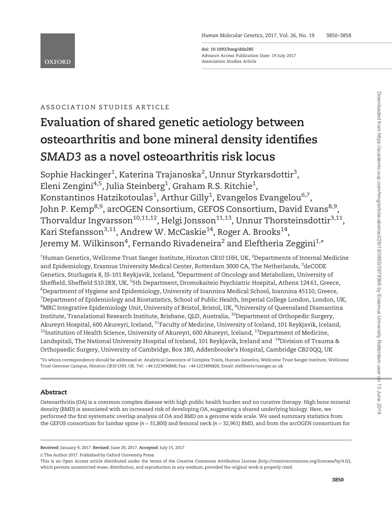doi: 10.1093/hmg/ddx285 Advance Access Publication Date: 19 July 2017 Association Studies Article

# ASSOCIATION STUDIES ARTICLE

# Evaluation of shared genetic aetiology between osteoarthritis and bone mineral density identifies SMAD3 as a novel osteoarthritis risk locus

Sophie Hackinger $^1$ , Katerina Trajanoska $^2$ , Unnur Styrkarsdottir $^3$ , Eleni Zengini $^{4,5}$ , Julia Steinberg $^1$ , Graham R.S. Ritchie $^1$ , Konstantinos Hatzikotoulas $^1$ , Arthur Gilly $^1$ , Evangelos Evangelou $^{6,7},$ John P. Kemp<sup>8,9</sup>, arcOGEN Consortium, GEFOS Consortium, David Evans<sup>8,9</sup>, Thorvaldur Ingvarsson<sup>10,11,12</sup>, Helgi Jonsson<sup>11,13</sup>, Unnur Thorsteinsdottir<sup>3,11</sup>, Kari Stefansson<sup>3,11</sup>, Andrew W. McCaskie<sup>14</sup>, Roger A. Brooks<sup>14</sup>, Jeremy M. Wilkinson $^4$ , Fernando Rivadeneira $^2$  and Eleftheria Zeggini $^{1,\ast}$ 

 $^{\rm 1}$ Human Genetics, Wellcome Trust Sanger Institute, Hinxton CB10 1HH, UK,  $^{\rm 2}$ Departments of Internal Medicine and Epidemiology, Erasmus University Medical Center, Rotterdam 3000 CA, The Netherlands, <sup>3</sup>deCODE Genetics, Sturlugata 8, IS-101 Reykjavik, Iceland, <sup>4</sup>Department of Oncology and Metabolism, University of Sheffield, Sheffield S10 2RX, UK, <sup>5</sup>5th Department, Dromokaiteio Psychiatric Hospital, Athens 124 61, Greece,  $^6$ Department of Hygiene and Epidemiology, University of Ioannina Medical School, Ioannina 45110, Greece,  $^7$ Department of Epidemiology and Biostatistics, School of Public Health, Imperial College London, London, UK,  $^8$ MRC Integrative Epidemiology Unit, University of Bristol, Bristol, UK,  $^9$ University of Queensland Diamantina Institute, Translational Research Institute, Brisbane, QLD, Australia, 10Department of Orthopedic Surgery, Akureyri Hospital, 600 Akureyri, Iceland, <sup>11</sup>Faculty of Medicine, University of Iceland, 101 Reykjavik, Iceland,  $12$ Institution of Health Science, University of Akureyri, 600 Akureyri, Iceland,  $13$ Department of Medicine, Landspitali, The National University Hospital of Iceland, 101 Reykjavik, Iceland and <sup>14</sup>Division of Trauma & Orthopaedic Surgery, University of Cambridge, Box 180, Addenbrooke's Hospital, Cambridge CB2 0QQ, UK

\*To whom correspondence should be addressed at: Analytical Genomics of Complex Traits, Human Genetics, Wellcome Trust Sanger Institute, Wellcome Trust Genome Campus, Hinxton CB10 1HH, UK. Tel: +44 1223496868; Fax: +44 1223496826; Email: eleftheria@sanger.ac.uk

# Abstract

Osteoarthritis (OA) is a common complex disease with high public health burden and no curative therapy. High bone mineral density (BMD) is associated with an increased risk of developing OA, suggesting a shared underlying biology. Here, we performed the first systematic overlap analysis of OA and BMD on a genome wide scale. We used summary statistics from the GEFOS consortium for lumbar spine ( $n = 31,800$ ) and femoral neck ( $n = 32,961$ ) BMD, and from the arcOGEN consortium for

© The Author 2017. Published by Oxford University Press.

Received: January 9, 2017. Revised: June 20, 2017. Accepted: July 15, 2017

This is an Open Access article distributed under the terms of the Creative Commons Attribution License (<http://creativecommons.org/licenses/by/4.0/>), which permits unrestricted reuse, distribution, and reproduction in any medium, provided the original work is properly cited.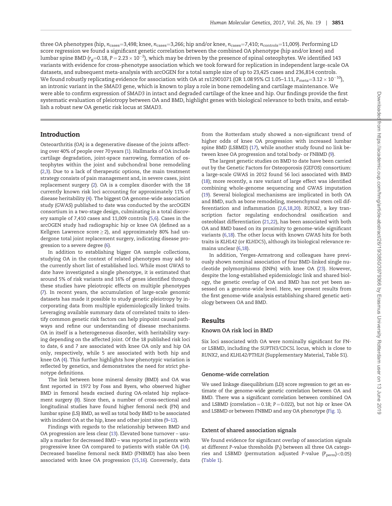three OA phenotypes (hip,  $n_{\text{cases}}=3,498$ ; knee,  $n_{\text{cases}}=3,266$ ; hip and/or knee,  $n_{\text{cases}}=7,410$ ;  $n_{\text{controls}}=11,009$ ). Performing LD score regression we found a significant genetic correlation between the combined OA phenotype (hip and/or knee) and lumbar spine BMD (r $_{\rm g}=$ 0.18, P $=$  2.23  $\times$  10 $^{-2}$ ), which may be driven by the presence of spinal osteophytes. We identified 143 variants with evidence for cross-phenotype association which we took forward for replication in independent large-scale OA datasets, and subsequent meta-analysis with arcOGEN for a total sample size of up to 23,425 cases and 236,814 controls. We found robustly replicating evidence for association with OA at rs12901071 (OR 1.08 95% CI 1.05–1.11,  $P_{\rm meta}$ =3.12  $\times$  10 $^{-10}$ ), an intronic variant in the SMAD3 gene, which is known to play a role in bone remodeling and cartilage maintenance. We were able to confirm expression of SMAD3 in intact and degraded cartilage of the knee and hip. Our findings provide the first systematic evaluation of pleiotropy between OA and BMD, highlight genes with biological relevance to both traits, and establish a robust new OA genetic risk locus at SMAD3.

#### Introduction

Osteoarthritis (OA) is a degenerative disease of the joints affecting over 40% of people over 70 years ([1\)](#page-6-0). Hallmarks of OA include cartilage degradation, joint-space narrowing, formation of osteophytes within the joint and subchondral bone remodeling [\(2,3\)](#page-6-0). Due to a lack of therapeutic options, the main treatment strategy consists of pain management and, in severe cases, joint replacement surgery ([2](#page-6-0)). OA is a complex disorder with the 18 currently known risk loci accounting for approximately 11% of disease heritability ([4\)](#page-6-0). The biggest OA genome-wide association study (GWAS) published to date was conducted by the arcOGEN consortium in a two-stage design, culminating in a total discovery sample of 7,410 cases and 11,009 controls ([5,6](#page-6-0)). Cases in the arcOGEN study had radiographic hip or knee OA (defined as a Kellgren Lawrence score  $\geq$  2), and approximately 80% had undergone total joint replacement surgery, indicating disease progression to a severe degree [\(6](#page-6-0)).

In addition to establishing bigger OA sample collections, studying OA in the context of related phenotypes may add to the currently short list of established loci. While most GWAS to date have investigated a single phenotype, it is estimated that around 5% of risk variants and 16% of genes identified through these studies have pleiotropic effects on multiple phenotypes [\(7\)](#page-6-0). In recent years, the accumulation of large-scale genomic datasets has made it possible to study genetic pleiotropy by incorporating data from multiple epidemiologically linked traits. Leveraging available summary data of correlated traits to identify common genetic risk factors can help pinpoint causal pathways and refine our understanding of disease mechanisms. OA in itself is a heterogeneous disorder, with heritability varying depending on the affected joint. Of the 18 published risk loci to date, 6 and 7 are associated with knee OA only and hip OA only, respectively, while 5 are associated with both hip and knee OA ([4\)](#page-6-0). This further highlights how phenotypic variation is reflected by genetics, and demonstrates the need for strict phenotype definitions.

The link between bone mineral density (BMD) and OA was first reported in 1972 by Foss and Byers, who observed higher BMD in femoral heads excised during OA-related hip replacement surgery ([8\)](#page-6-0). Since then, a number of cross-sectional and longitudinal studies have found higher femoral neck (FN) and lumbar spine (LS) BMD, as well as total body BMD to be associated with incident OA at the hip, knee and other joint sites ([9](#page-6-0)[–12\)](#page-7-0).

Findings with regards to the relationship between BMD and OA progression are less clear [\(13](#page-7-0)). Elevated bone turnover – usually a marker for decreased BMD – was reported in patients with progressive knee OA compared to patients with stable OA [\(14\)](#page-7-0). Decreased baseline femoral neck BMD (FNBMD) has also been associated with knee OA progression ([15,16](#page-7-0)). Conversely, data

from the Rotterdam study showed a non-significant trend of higher odds of knee OA progression with increased lumbar spine BMD (LSBMD) [\(17\)](#page-7-0), while another study found no link between knee OA progression and total body- or FNBMD ([9\)](#page-6-0).

The largest genetic studies on BMD to date have been carried out by the Genetic Factors for Osteoporosis (GEFOS) consortium: a large-scale GWAS in 2012 found 56 loci associated with BMD [\(18\)](#page-7-0); more recently, a rare variant of large effect was identified combining whole-genome sequencing and GWAS imputation [\(19\)](#page-7-0). Several biological mechanisms are implicated in both OA and BMD, such as bone remodeling, mesenchymal stem cell differentiation and inflammation [\(2,6,](#page-6-0)[18,20](#page-7-0)). RUNX2, a key transcription factor regulating endochondral ossification and osteoblast differentiation [\(21,22](#page-7-0)), has been associated with both OA and BMD based on its proximity to genome-wide significant variants ([6,](#page-6-0)[18](#page-7-0)). The other locus with known GWAS hits for both traits is KLHL42 (or KLHDC5), although its biological relevance remains unclear ([6,](#page-6-0)[18](#page-7-0)).

In addition, Yerges-Armstrong and colleagues have previously shown nominal association of four BMD-linked single nucleotide polymorphisms (SNPs) with knee OA ([23](#page-7-0)). However, despite the long-established epidemiologic link and shared biology, the genetic overlap of OA and BMD has not yet been assessed on a genome-wide level. Here, we present results from the first genome-wide analysis establishing shared genetic aetiology between OA and BMD.

# Results

#### Known OA risk loci in BMD

Six loci associated with OA were nominally significant for FNor LSBMD, including the SUPTH3/CDC5L locus, which is close to RUNX2, and KLHL42/PTHLH (Supplementary Material, Table S1).

#### Genome-wide correlation

We used linkage disequilibrium (LD) score regression to get an estimate of the genome-wide genetic correlation between OA and BMD. There was a significant correlation between combined OA and LSBMD (correlation = 0.18;  $P = 0.022$ ), but not hip or knee OA and LSBMD or between FNBMD and any OA phenotype [\(Fig. 1](#page-2-0)).

#### Extent of shared association signals

We found evidence for significant overlap of association signals at different P-value thresholds  $(P_t)$  between all three OA categories and LSBMD (permutation adjusted P-value ( $P_{\rm perm}$ )<0.05) [\(Table 1\)](#page-2-0).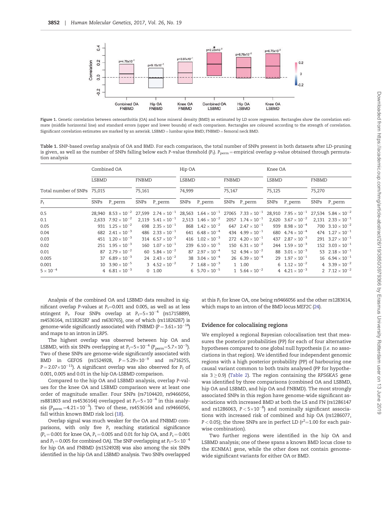<span id="page-2-0"></span>

Figure 1. Genetic correlation between osteoarthritis (OA) and bone mineral density (BMD) as estimated by LD score regression. Rectangles show the correlation estimate (middle horizontal line) and standard errors (upper and lower bounds) of each comparison. Rectangles are coloured according to the strength of correlation. Significant correlation estimates are marked by an asterisk. LSBMD = lumbar spine BMD; FNBMD = femoral neck BMD.

Table 1. SNP-based overlap analysis of OA and BMD. For each comparison, the total number of SNPs present in both datasets after LD-pruning is given, as well as the number of SNPs falling below each P-value threshold  $(P_t)$ .  $P_{\text{perm}} = \text{empirical overlap p-value obtained through permuta-}$ tion analysis

|                             | Combined OA  |                                |                 |                             | Hip OA                 |                             |                 |                                                                                                                    | Knee OA         |                                                           |                 |                                |
|-----------------------------|--------------|--------------------------------|-----------------|-----------------------------|------------------------|-----------------------------|-----------------|--------------------------------------------------------------------------------------------------------------------|-----------------|-----------------------------------------------------------|-----------------|--------------------------------|
|                             | <b>LSBMD</b> |                                | FNBMD<br>75,161 |                             | <b>LSBMD</b><br>74,999 |                             | FNBMD<br>75,147 |                                                                                                                    | LSBMD<br>75,125 |                                                           | FNBMD<br>75,270 |                                |
| Total number of SNPs 75,015 |              |                                |                 |                             |                        |                             |                 |                                                                                                                    |                 |                                                           |                 |                                |
| $P_{t}$                     | SNPs         | P_perm                         | <b>SNPs</b>     | P_perm                      |                        | SNPs P_perm                 |                 | SNPs P_perm                                                                                                        | SNPs            | P_perm                                                    | <b>SNPs</b>     | P_perm                         |
| 0.5                         |              |                                |                 |                             |                        |                             |                 | 28,940 $8.53 \times 10^{-2}$ 27,599 $2.74 \times 10^{-1}$ 28,563 $1.64 \times 10^{-1}$ 27065 $7.33 \times 10^{-1}$ |                 | 28,910 $7.95 \times 10^{-1}$ 27,534 $5.84 \times 10^{-2}$ |                 |                                |
| 0.1                         |              | 2,633 $7.92 \times 10^{-2}$    |                 | 2,119 $5.41 \times 10^{-1}$ |                        | 2,513 $1.46 \times 10^{-2}$ |                 | 2057 $1.74 \times 10^{-1}$                                                                                         |                 | 2,620 $3.67 \times 10^{-2}$                               |                 | 2,131 $2.33 \times 10^{-1}$    |
| 0.05                        |              | 931 $1.25 \times 10^{-2}$      |                 | 698 $2.35 \times 10^{-1}$   |                        | 868 $1.42 \times 10^{-2}$   |                 | 647 $2.47 \times 10^{-1}$                                                                                          |                 | 939 $8.98 \times 10^{-4}$                                 |                 | 700 $3.10 \times 10^{-2}$      |
| 0.04                        |              | 682 $2.41 \times 10^{-3}$      |                 | 486 $2.33 \times 10^{-1}$   |                        | 641 $6.48 \times 10^{-4}$   |                 | 434 $4.99 \times 10^{-1}$                                                                                          |                 | 680 $4.74 \times 10^{-4}$                                 |                 | 474 $1.27 \times 10^{-1}$      |
| 0.03                        |              | 451 $1.20 \times 10^{-3}$      |                 | 314 $6.57 \times 10^{-2}$   |                        | 416 $1.02 \times 10^{-3}$   |                 | 272 $4.20 \times 10^{-1}$                                                                                          |                 | 437 $2.87 \times 10^{-3}$                                 |                 | 291 $3.27 \times 10^{-1}$      |
| 0.02                        |              | 251 $1.95 \times 10^{-3}$      |                 | 160 $1.07 \times 10^{-1}$   |                        | 239 $6.10 \times 10^{-5}$   |                 | 150 $6.31 \times 10^{-2}$                                                                                          |                 | 244 $1.59 \times 10^{-3}$                                 |                 | 152 $3.03 \times 10^{-1}$      |
| 0.01                        |              | 87 $2.79 \times 10^{-2}$       |                 | 60 $5.84 \times 10^{-2}$    |                        | 87 $2.97 \times 10^{-4}$    |                 | 52 $4.94 \times 10^{-2}$                                                                                           |                 | 88 $3.01 \times 10^{-3}$                                  |                 | 53 $2.18 \times 10^{-1}$       |
| 0.005                       |              | 37 $6.89 \times 10^{-3}$       |                 | 24 $2.43 \times 10^{-2}$    |                        | 38 $3.04 \times 10^{-4}$    |                 | 26 $6.39 \times 10^{-4}$                                                                                           |                 | 29 $1.97 \times 10^{-1}$                                  |                 | $16 \quad 6.94 \times 10^{-1}$ |
| 0.001                       |              | $10 \cdot 3.90 \times 10^{-5}$ |                 | 3 $4.52 \times 10^{-2}$     |                        | 7 $1.68 \times 10^{-3}$     |                 | 1 1.00                                                                                                             |                 | 6 $1.12 \times 10^{-2}$                                   |                 | 4 $3.39 \times 10^{-2}$        |
| $5 \times 10^{-4}$          |              | 4 $6.81 \times 10^{-3}$        |                 | 0, 1.00                     |                        | 6 $5.70 \times 10^{-5}$     |                 | 1 $5.64 \times 10^{-2}$                                                                                            |                 | 4 $4.21 \times 10^{-3}$                                   |                 | 2 $7.12 \times 10^{-2}$        |

Analysis of the combined OA and LSBMD data resulted in significant overlap P-values at  $P_t=0.001$  and 0.005, as well as at less stringent  $P_t$ . Four SNPs overlap at  $P_t = 5 \times 10^{-4}$  (rs17158899, rs4536164, rs11826287 and rs630765), one of which (rs11826287) is genome-wide significantly associated with FNBMD (P  $= 3.61 \times 10^{-14}$ ) and maps to an intron in LRP5.

The highest overlap was observed between hip OA and LSBMD, with six SNPs overlapping at  $P_{\rm t}{=}\frac{5}{\times}10^{-4}$  ( $P_{\rm perm}{=}\frac{5.7\times10^{-5}}{.}$ Two of these SNPs are genome-wide significantly associated with BMD in GEFOS (rs1524928,  $P = 5.29 \times 10^{-9}$  and rs716255, P=2.07 $\times$ 10 $^{-11}$ ). A significant overlap was also observed for P<sub>t</sub> of 0.001, 0.005 and 0.01 in the hip OA-LSBMD comparison.

Compared to the hip OA and LSBMD analysis, overlap P-values for the knee OA and LSBMD comparison were at least one order of magnitude smaller. Four SNPs (rs7104420, rs9466056, rs881803 and rs4536164) overlapped at P $_{\rm t}$ =5 $\times$ 10 $^{-4}$  in this analysis (P $_{\rm perm}$ =4.21 $\times$ 10 $^{-3}$ ). Two of these, rs4536164 and rs9466056, fall within known BMD risk loci ([18\)](#page-7-0).

Overlap signal was much weaker for the OA and FNBMD comparisons, with only five  $P_t$  reaching statistical significance  $(P_t = 0.001$  for knee OA,  $P_t = 0.005$  and 0.01 for hip OA, and  $P_t = 0.001$ and  $P_t$  = 0.005 for combined OA). The SNP overlapping at  $P_t$  =5 $\times$ 10 $^{-4}$ for hip OA and FNBMD (rs1524928) was also among the six SNPs identified in the hip OA and LSBMD analysis. Two SNPs overlapped at this  $P_t$  for knee OA, one being rs9466056 and the other rs1283614, which maps to an intron of the BMD locus MEF2C [\(24\)](#page-7-0).

#### Evidence for colocalising regions

We employed a regional Bayesian colocalisation test that measures the posterior probabilities (PP) for each of four alternative hypotheses compared to one global null hypothesis (i.e. no associations in that region). We identified four independent genomic regions with a high posterior probability (PP) of harbouring one causal variant common to both traits analysed (PP for hypothesis  $3 \geq 0.9$ ) [\(Table 2\)](#page-3-0). The region containing the RPS6KA5 gene was identified by three comparisons (combined OA and LSBMD, hip OA and LSBMD, and hip OA and FNBMD). The most strongly associated SNPs in this region have genome-wide significant associations with increased BMD at both the LS and FN (rs1286147 and rs1286063,  $P < 5 \times 10^{-8}$ ) and nominally significant associations with increased risk of combined and hip OA (rs1286077, P < 0.05); the three SNPs are in perfect LD ( $r^2$ =1.00 for each pairwise combination).

Two further regions were identified in the hip OA and LSBMD analysis; one of these spans a known BMD locus close to the KCNMA1 gene, while the other does not contain genomewide significant variants for either OA or BMD.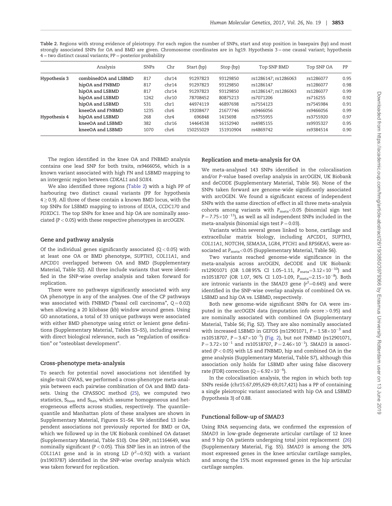<span id="page-3-0"></span>Table 2. Regions with strong evidence of pleiotropy. For each region the number of SNPs, start and stop position in basepairs (bp) and most strongly associated SNPs for OA and BMD are given. Chromosome coordinates are in hg19. Hypothesis 3=one causal variant; hypothesis  $4 =$  two distinct causal variants;  $PP =$  posterior probability

|              | Analysis             | <b>SNPs</b> | Chr              | Start (bp) | Stop (bp) | Top SNP BMD          | Top SNP OA | PP   |
|--------------|----------------------|-------------|------------------|------------|-----------|----------------------|------------|------|
| Hypothesis 3 | combinedOA and LSBMD | 817         | chr14            | 91297823   | 93129850  | rs1286147; rs1286063 | rs1286077  | 0.95 |
|              | hipOA and FNBMD      | 817         | chr14            | 91297823   | 93129850  | rs1286147            | rs1286077  | 0.98 |
|              | hipOA and LSBMD      | 817         | chr14            | 91297823   | 93129850  | rs1286147; rs1286063 | rs1286077  | 0.99 |
|              | hipOA and LSBMD      | 1242        | chr10            | 78708452   | 80875213  | rs7071206            | rs716255   | 0.92 |
|              | hipOA and LSBMD      | 531         | chr1             | 44974119   | 46897698  | rs7554123            | rs7545984  | 0.91 |
|              | kneeOA and FNBMD     | 1235        | chr <sub>6</sub> | 19208477   | 21677746  | rs9466056            | rs9466056  | 0.99 |
| Hypothesis 4 | hipOA and LSBMD      | 268         | chr4             | 696848     | 1415698   | rs3755955            | rs3755920  | 0.97 |
|              | kneeOA and LSBMD     | 382         | chr16            | 14464538   | 16152940  | rs4985155            | rs9935327  | 0.95 |
|              | kneeOA and LSBMD     | 1070        | chr <sub>6</sub> | 150255029  | 151910904 | rs4869742            | rs9384514  | 0.90 |

The region identified in the knee OA and FNBMD analysis contains one lead SNP for both traits, rs9466056, which is a known variant associated with high FN and LSBMD mapping to an intergenic region between CDKAL1 and SOX4.

We also identified three regions (Table 2) with a high PP of harbouring two distinct causal variants (PP for hypothesis  $4 \geq 0.9$ ). All three of these contain a known BMD locus, with the top SNPs for LSBMD mapping to introns of IDUA, CCDC170 and PDXDC1. The top SNPs for knee and hip OA are nominally associated ( $P < 0.05$ ) with these respective phenotypes in arcOGEN.

# Gene and pathway analysis

Of the individual genes significantly associated  $(Q < 0.05)$  with at least one OA or BMD phenotype, SUPTH3, COL11A1, and APCDD1 overlapped between OA and BMD (Supplementary Material, Table S2). All three include variants that were identified in the SNP-wise overlap analysis and taken forward for replication.

There were no pathways significantly associated with any OA phenotype in any of the analyses. One of the CP pathways was associated with FNBMD ("basal cell carcinoma",  $Q = 0.02$ ) when allowing a 20 kilobase (kb) window around genes. Using GO annotations, a total of 33 unique pathways were associated with either BMD phenotype using strict or lenient gene definitions (Supplementary Material, Tables S3–S5), including several with direct biological relevance, such as "regulation of ossification" or "osteoblast development".

#### Cross-phenotype meta-analysis

To search for potential novel associations not identified by single-trait GWAS, we performed a cross-phenotype meta-analysis between each pairwise combination of OA and BMD datasets. Using the CPASSOC method [\(25](#page-7-0)), we computed two statistics, S<sub>hom</sub> and S<sub>het</sub>, which assume homogeneous and heterogeneous effects across studies, respectively. The quantile– quantile and Manhattan plots of these analyses are shown in Supplementary Material, Figures S1–S4. We identified 13 independent associations not previously reported for BMD or OA, which we followed up in the UK Biobank combined OA dataset (Supplementary Material, Table S10). One SNP, rs11164649, was nominally significant ( $P < 0.05$ ). This SNP lies in an intron of the COL11A1 gene and is in strong LD  $(r^2=0.92)$  with a variant (rs1903787) identified in the SNP-wise overlap analysis which was taken forward for replication.

#### Replication and meta-analysis for OA

We meta-analysed 143 SNPs identified in the colocalisation and/or P-value based overlap analysis in arcOGEN, UK Biobank and deCODE (Supplementary Material, Table S6). None of the SNPs taken forward are genome-wide significantly associated with arcOGEN. We found a significant excess of independent SNPs with the same direction of effect in all three meta-analysis cohorts among variants with  $P_{\text{meta}} < 0.05$  (binomial sign test  $P = 7.75 \times 10^{-11}$ ), as well as all independent SNPs included in the meta-analysis (binomial sign test  $P = 0.03$ ).

Variants within several genes linked to bone, cartilage and extracellular matrix biology, including APCDD1, SUPTH3, COL11A1, NOTCH4, SEMA3A, LGR4, PTCH1 and RPS6KA5, were associated at P<sub>meta</sub><0.05 (Supplementary Material, Table S6).

Two variants reached genome-wide significance in the meta-analysis across arcOGEN, deCODE and UK Biobank: rs12901071 (OR 1.0895% CI 1.05–1.11,  $P_{\rm meta}{=}3.12{\times}10^{-10})$  and rs10518707 (OR 1.07, 96% CI 1.03–1.09,  $P_{\rm meta} = 2.15 \times 10^{-8}$ ). Both are intronic variants in the SMAD3 gene  $(r^2=0.645)$  and were identified in the SNP-wise overlap analysis of combined OA vs. LSBMD and hip OA vs. LSBMD, respectively.

Both new genome-wide significant SNPs for OA were imputed in the arcOGEN data (imputation info score > 0.95) and are nominally associated with combined OA (Supplementary Material, Table S6; Fig. S2). They are also nominally associated with increased LSBMD in GEFOS (rs12901071,  $P = 1.58 \times 10^{-3}$  and  $rs10518707$ ,  $P = 3.47 \times 10^{-5}$ ) [\(Fig. 2](#page-4-0)), but not FNBMD (rs12901071,  $P = 3.72 \times 10^{-1}$  and rs10518707,  $P = 2.46 \times 10^{-1}$ ). SMAD3 is associated ( $P < 0.05$ ) with LS and FNBMD, hip and combined OA in the gene analysis (Supplementary Material, Table S7), although this association only holds for LSBMD after using false discovery rate (FDR) correction ( $Q = 6.92 \times 10^{-6}$ ).

In the colocalisation analysis, the region in which both top SNPs reside (chr15:67,095,629-69,017,421) has a PP of containing a single pleiotropic variant associated with hip OA and LSBMD (hypothesis 3) of 0.88.

#### Functional follow-up of SMAD3

Using RNA sequencing data, we confirmed the expression of SMAD3 in low-grade degenerate articular cartilage of 12 knee and 9 hip OA patients undergoing total joint replacement [\(26\)](#page-7-0) (Supplementary Material, Fig. S5). SMAD3 is among the 30% most expressed genes in the knee articular cartilage samples, and among the 15% most expressed genes in the hip articular cartilage samples.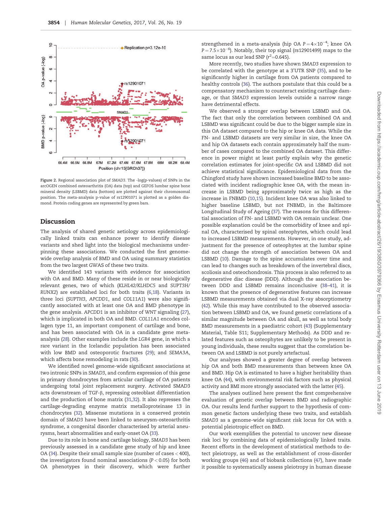<span id="page-4-0"></span>

Figure 2. Regional association plot of SMAD3. The -log(p-values) of SNPs in the arcOGEN combined osteoarthritis (OA) data (top) and GEFOS lumbar spine bone mineral density (LSBMD) data (bottom) are plotted against their chromosomal position. The meta-analysis p-value of rs12901071 is plotted as a golden diamond. Protein coding genes are represented by green bars.

# Discussion

The analysis of shared genetic aetiology across epidemiologically linked traits can enhance power to identify disease variants and shed light into the biological mechanisms underpinning these associations. We conducted the first genomewide overlap analysis of BMD and OA using summary statistics from the two largest GWAS of these two traits.

We identified 143 variants with evidence for association with OA and BMD. Many of these reside in or near biologically relevant genes, two of which (KLHL42/KLHDC5 and SUPT3H/ RUNX2) are established loci for both traits [\(6](#page-6-0)[,18\)](#page-7-0). Variants in three loci (SUPTH3, APCDD1, and COL11A1) were also significantly associated with at least one OA and BMD phenotype in the gene analysis. APCDD1 is an inhibitor of WNT signaling [\(27\)](#page-7-0), which is implicated in both OA and BMD. COL11A1 encodes collagen type 11, an important component of cartilage and bone, and has been associated with OA in a candidate gene metaanalysis ([28](#page-7-0)). Other examples include the LGR4 gene, in which a rare variant in the Icelandic population has been associated with low BMD and osteoporotic fractures ([29\)](#page-7-0); and SEMA3A, which affects bone remodeling in rats [\(30](#page-7-0)).

We identified novel genome-wide significant associations at two intronic SNPs in SMAD3, and confirm expression of this gene in primary chondrocytes from articular cartilage of OA patients undergoing total joint replacement surgery. Activated SMAD3 acts downstream of TGF-b, repressing osteoblast differentiation and the production of bone matrix [\(31,32](#page-7-0)). It also represses the cartilage-degrading enzyme matrix metalloproteinase 13 in chondrocytes ([32](#page-7-0)). Missense mutations in a conserved protein domain of SMAD3 have been linked to aneurysm-osteoarthritis syndrome, a congenital disorder characterised by arterial aneurysms, heart abnormalities and early-onset OA [\(33](#page-7-0)).

Due to its role in bone and cartilage biology, SMAD3 has been previously assessed in a candidate gene study of hip and knee OA ([34\)](#page-7-0). Despite their small sample size (number of cases < 400), the investigators found nominal associations  $(P < 0.05)$  for both OA phenotypes in their discovery, which were further

strengthened in a meta-analysis (hip OA  $P = 4 \times 10^{-4}$ ; knee OA  $P = 7.5 \times 10^{-6}$ ). Notably, their top signal (rs12901499) maps to the same locus as our lead SNP  $(r^2=0.645)$ .

More recently, two studies have shown SMAD3 expression to be correlated with the genotype at a 3'UTR SNP [\(35\)](#page-7-0), and to be significantly higher in cartilage from OA patients compared to healthy controls ([36](#page-7-0)). The authors postulate that this could be a compensatory mechanism to counteract existing cartilage damage, or that SMAD3 expression levels outside a narrow range have detrimental effects.

We observed a stronger overlap between LSBMD and OA. The fact that only the correlation between combined OA and LSBMD was significant could be due to the bigger sample size in this OA dataset compared to the hip or knee OA data. While the FN- and LSBMD datasets are very similar in size, the knee OA and hip OA datasets each contain approximately half the number of cases compared to the combined OA dataset. This difference in power might at least partly explain why the genetic correlation estimates for joint-specific OA and LSBMD did not achieve statistical significance. Epidemiological data from the Chingford study have shown increased baseline BMD to be associated with incident radiographic knee OA, with the mean increase in LSBMD being approximately twice as high as the increase in FNBMD [\(10](#page-6-0)[,15\)](#page-7-0). Incident knee OA was also linked to higher baseline LSBMD, but not FNBMD, in the Baltimore Longitudinal Study of Ageing [\(37\)](#page-7-0). The reasons for this differential association of FN- and LSBMD with OA remain unclear. One possible explanation could be the comorbidity of knee and spinal OA, characterised by spinal osteophytes, which could lead to increased LSBMD measurements. However, in one study, adjustment for the presence of osteophytes at the lumbar spine did not change the strength of association between OA and LSBMD ([10\)](#page-6-0). Damage to the spine accumulates over time and can lead to changes such as breakdown of the invertebral discs, scoliosis and osteochondrosis. This process is also referred to as degenerative disc disease (DDD). Although the association between DDD and LSBMD remains inconclusive [\(38](#page-7-0)[–41](#page-8-0)), it is known that the presence of degenerative features can increase LSBMD measurements obtained via dual X-ray absorptiometry [\(42\)](#page-8-0). While this may have contributed to the observed association between LSBMD and OA, we found genetic correlations of a similar magnitude between OA and skull, as well as total body BMD measurements in a paediatric cohort [\(43\)](#page-8-0) (Supplementary Material, Table S11; Supplementary Methods). As DDD and related features such as osteophytes are unlikely to be present in young individuals, these results suggest that the correlation between OA and LSBMD is not purely artefactual.

Our analyses showed a greater degree of overlap between hip OA and both BMD measurements than between knee OA and BMD. Hip OA is estimated to have a higher heritability than knee OA ([44\)](#page-8-0), with environmental risk factors such as physical activity and BMI more strongly associated with the latter ([45](#page-8-0)).

The analyses outlined here present the first comprehensive evaluation of genetic overlap between BMD and radiographic OA. Our results lend further support to the hypothesis of common genetic factors underlying these two traits, and establish SMAD3 as a genome-wide significant risk locus for OA with a potential pleiotropic effect on BMD.

Our work exemplifies the potential to uncover new disease risk loci by combining data of epidemiologically linked traits. Recent efforts in the development of statistical methods to detect pleiotropy, as well as the establishment of cross-disorder working groups ([46\)](#page-8-0) and of biobank collections [\(47](#page-8-0)), have made it possible to systematically assess pleiotropy in human disease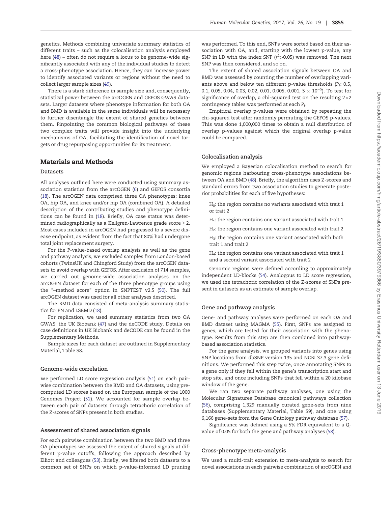genetics. Methods combining univariate summary statistics of different traits – such as the colocalisation analysis employed here [\(48\)](#page-8-0) – often do not require a locus to be genome-wide significantly associated with any of the individual studies to detect a cross-phenotype association. Hence, they can increase power to identify associated variants or regions without the need to collect larger sample sizes ([49](#page-8-0)).

There is a stark difference in sample size and, consequently, statistical power between the arcOGEN and GEFOS GWAS datasets. Larger datasets where phenotype information for both OA and BMD is available in the same individuals will be necessary to further disentangle the extent of shared genetics between them. Pinpointing the common biological pathways of these two complex traits will provide insight into the underlying mechanisms of OA, facilitating the identification of novel targets or drug repurposing opportunities for its treatment.

#### Materials and Methods

#### Datasets

All analyses outlined here were conducted using summary association statistics from the arcOGEN [\(6\)](#page-6-0) and GEFOS consortia [\(18\)](#page-7-0). The arcOGEN data comprised three OA phenotypes: knee OA, hip OA, and knee and/or hip OA (combined OA). A detailed description of the contributing studies and phenotype definitions can be found in ([18](#page-7-0)). Briefly, OA case status was determined radiographically as a Kellgren-Lawrence grade score  $\geq$  2. Most cases included in arcOGEN had progressed to a severe disease endpoint, as evident from the fact that 80% had undergone total joint replacement surgery.

For the P-value-based overlap analysis as well as the gene and pathway analysis, we excluded samples from London-based cohorts (TwinsUK and Chingford Study) from the arcOGEN datasets to avoid overlap with GEFOS. After exclusion of 714 samples, we carried out genome-wide association analyses on the arcOGEN dataset for each of the three phenotype groups using the "–method score" option in SNPTEST v2.5 [\(50\)](#page-8-0). The full arcOGEN dataset was used for all other analyses described.

The BMD data consisted of meta-analysis summary statistics for FN and LSBMD ([18](#page-7-0)).

For replication, we used summary statistics from two OA GWAS: the UK Biobank [\(47\)](#page-8-0) and the deCODE study. Details on case definitions in UK Biobank and deCODE can be found in the Supplementary Methods.

Sample sizes for each dataset are outlined in Supplementary Material, Table S8.

#### Genome-wide correlation

We performed LD score regression analysis ([51\)](#page-8-0) on each pairwise combination between the BMD and OA datasets, using precomputed LD scores based on the European sample of the 1000 Genomes Project [\(52\)](#page-8-0). We accounted for sample overlap between each pair of datasets through tetrachoric correlation of the Z-scores of SNPs present in both studies.

### Assessment of shared association signals

For each pairwise combination between the two BMD and three OA phenotypes we assessed the extent of shared signals at different p-value cutoffs, following the approach described by Elliott and colleagues ([53\)](#page-8-0). Briefly, we filtered both datasets to a common set of SNPs on which p-value-informed LD pruning was performed. To this end, SNPs were sorted based on their association with OA, and, starting with the lowest p-value, any SNP in LD with the index SNP ( $r^2$ >0.05) was removed. The next SNP was then considered, and so on.

The extent of shared association signals between OA and BMD was assessed by counting the number of overlapping variants above and below ten different p-value thresholds ( $P_t$ : 0.5, 0.1, 0.05, 0.04, 0.03, 0.02, 0.01, 0.005, 0.001,  $5 \times 10^{-5}$ ). To test for significance of overlap, a chi-squared test on the resulting  $2{\times}2$ contingency tables was performed at each P<sub>t</sub>.

Empirical overlap p-values were obtained by repeating the chi-squared test after randomly permuting the GEFOS p-values. This was done 1,000,000 times to obtain a null distribution of overlap p-values against which the original overlap p-value could be compared.

#### Colocalisation analysis

We employed a Bayesian colocalisation method to search for genomic regions harbouring cross-phenotype associations between OA and BMD [\(48](#page-8-0)). Briefly, the algorithm uses Z-scores and standard errors from two association studies to generate posterior probabilities for each of five hypotheses:

- H0: the region contains no variants associated with trait 1 or trait 2
- $H_1$ : the region contains one variant associated with trait 1
- $H<sub>2</sub>$ : the region contains one variant associated with trait 2
- H<sub>3</sub>: the region contains one variant associated with both trait 1 and trait 2
- H4: the region contains one variant associated with trait 1 and a second variant associated with trait 2

Genomic regions were defined according to approximately independent LD-blocks [\(54](#page-8-0)). Analogous to LD score regression, we used the tetrachoric correlation of the Z-scores of SNPs present in datasets as an estimate of sample overlap.

#### Gene and pathway analysis

Gene- and pathway analyses were performed on each OA and BMD dataset using MAGMA [\(55\)](#page-8-0). First, SNPs are assigned to genes, which are tested for their association with the phenotype. Results from this step are then combined into pathwaybased association statistics.

For the gene analysis, we grouped variants into genes using SNP locations from dbSNP version 135 and NCBI 37.3 gene definitions. We performed this step twice, once annotating SNPs to a gene only if they fell within the gene's transcription start and stop site, and once including SNPs that fell within a 20 kilobase window of the gene.

We ran two separate pathway analyses, one using the Molecular Signatures Database canonical pathways collection [\(56\)](#page-8-0), comprising 1,329 manually curated gene-sets from nine databases (Supplementary Material, Table S9), and one using 6,166 gene-sets from the Gene Ontology pathway database ([57\)](#page-8-0).

Significance was defined using a 5% FDR equivalent to a Qvalue of 0.05 for both the gene and pathway analyses [\(58\)](#page-8-0).

#### Cross-phenotype meta-analysis

We used a multi-trait extension to meta-analysis to search for novel associations in each pairwise combination of arcOGEN and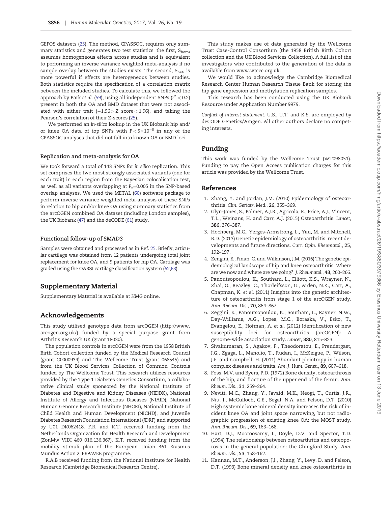<span id="page-6-0"></span>GEFOS datasets [\(25\)](#page-7-0). The method, CPASSOC, requires only summary statistics and generates two test statistics: the first, Shom, assumes homogeneous effects across studies and is equivalent to performing an inverse variance weighted meta-analysis if no sample overlap between the studies exists. The second,  $S<sub>het</sub>$ , is more powerful if effects are heterogeneous between studies. Both statistics require the specification of a correlation matrix between the included studies. To calculate this, we followed the approach by Park et al. ([59\)](#page-8-0), using all independent SNPs ( $r^2$   $<$  0.2) present in both the OA and BMD dataset that were not associated with either trait  $(-1.96 > Z \text{ score} < 1.96)$ , and taking the Pearson's correlation of their Z-scores ([25\)](#page-7-0).

We performed an in-silico lookup in the UK Biobank hip and/ or knee OA data of top SNPs with  $P < 5 \times 10^{-8}$  in any of the CPASSOC analyses that did not fall into known OA or BMD loci.

#### Replication and meta-analysis for OA

We took forward a total of 143 SNPs for in silico replication. This set comprises the two most strongly associated variants (one for each trait) in each region from the Bayesian colocalisation test, as well as all variants overlapping at  $P_t$ =0.005 in the SNP-based overlap analyses. We used the METAL ([60](#page-8-0)) software package to perform inverse variance weighted meta-analysis of these SNPs in relation to hip and/or knee OA using summary statistics from the arcOGEN combined OA dataset (including London samples), the UK Biobank ([47](#page-8-0)) and the deCODE [\(61](#page-8-0)) study.

#### Functional follow-up of SMAD3

Samples were obtained and processed as in Ref. [25](#page-7-0). Briefly, articular cartilage was obtained from 12 patients undergoing total joint replacement for knee OA, and 9 patients for hip OA. Cartilage was graded using the OARSI cartilage classification system [\(62,63](#page-8-0)).

# Supplementary Material

Supplementary Material is available at HMG online.

# Acknowledgements

This study utilised genotype data from arcOGEN ([http://www.](http://www.arcogen.org.uk/) [arcogen.org.uk/\)](http://www.arcogen.org.uk/) funded by a special purpose grant from Arthritis Research UK (grant 18030).

The population controls in arcOGEN were from the 1958 British Birth Cohort collection funded by the Medical Research Council (grant G0000934) and The Wellcome Trust (grant 068545) and from the UK Blood Services Collection of Common Controls funded by The Wellcome Trust. This research utilizes resources provided by the Type 1 Diabetes Genetics Consortium, a collaborative clinical study sponsored by the National Institute of Diabetes and Digestive and Kidney Diseases (NIDDK), National Institute of Allergy and Infectious Diseases (NIAID), National Human Genome Research Institute (NHGRI), National Institute of Child Health and Human Development (NICHD), and Juvenile Diabetes Research Foundation International (JDRF) and supported by U01 DK062418. F.R. and K.T. received funding from the Netherlands Organization for Health Research and Development (ZonMw VIDI 460 016.136.367). K.T. received funding from the mobility stimuli plan of the European Union 461 Erasmus Mundus Action 2: ERAWEB programme.

R.A.B received funding from the National Institute for Health Research (Cambridge Biomedical Research Centre).

This study makes use of data generated by the Wellcome Trust Case-Control Consortium (the 1958 British Birth Cohort collection and the UK Blood Services Collection). A full list of the investigators who contributed to the generation of the data is available from [www.wtccc.org.uk.](www.wtccc.org.uk)

We would like to acknowledge the Cambridge Biomedical Research Center Human Research Tissue Bank for storing the hip gene expression and methylation replication samples.

This research has been conducted using the UK Biobank Resource under Application Number 9979.

Conflict of Interest statement. U.S., U.T. and K.S. are employed by deCODE Genetics/Amgen. All other authors declare no competing interests.

# Funding

This work was funded by the Wellcome Trust (WT098051). Funding to pay the Open Access publication charges for this article was provided by the Wellcome Trust.

#### References

- 1. Zhang, Y. and Jordan, J.M. (2010) Epidemiology of osteoarthritis. Clin. Geriatr. Med., 26, 355–369.
- 2. Glyn-Jones, S., Palmer, A.J.R., Agricola, R., Price, A.J., Vincent, T.L., Weinans, H. and Carr, A.J. (2015) Osteoarthritis. Lancet, 386, 376–387.
- 3. Hochberg, M.C., Yerges-Armstrong, L., Yau, M. and Mitchell, B.D. (2013) Genetic epidemiology of osteoarthritis: recent developments and future directions. Curr. Opin. Rheumatol., 25, 192–197.
- 4. Zengini, E., Finan, C. and Wilkinson, J.M. (2016) The genetic epidemiological landscape of hip and knee osteoarthritis: Where are we now and where are we going?. J. Rheumatol., 43, 260–266.
- 5. Panoutsopoulou, K., Southam, L., Elliott, K.S., Wrayner, N., Zhai, G., Beazley, C., Thorleifsson, G., Arden, N.K., Carr, A., Chapman, K. et al. (2011) Insights into the genetic architecture of osteoarthritis from stage 1 of the arcOGEN study. Ann. Rheum. Dis., 70, 864–867.
- 6. Zeggini, E., Panoutsopoulou, K., Southam, L., Rayner, N.W., Day-Williams, A.G., Lopes, M.C., Boraska, V., Esko, T., Evangelou, E., Hofman, A. et al. (2012) Identification of new susceptibility loci for osteoarthritis (arcOGEN): A genome-wide association study. Lancet, 380, 815–823.
- 7. Sivakumaran, S., Agakov, F., Theodoratou, E., Prendergast, J.G., Zgaga, L., Manolio, T., Rudan, I., McKeigue, P., Wilson, J.F. and Campbell, H. (2011) Abundant pleiotropy in human complex diseases and traits. Am. J. Hum. Genet., 89, 607–618.
- 8. Foss, M.V. and Byers, P.D. (1972) Bone density, osteoarthrosis of the hip, and fracture of the upper end of the femur. Ann. Rheum. Dis., 31, 259–264.
- 9. Nevitt, M.C., Zhang, Y., Javaid, M.K., Neogi, T., Curtis, J.R., Niu, J., McCulloch, C.E., Segal, N.A. and Felson, D.T. (2010) High systemic bone mineral density increases the risk of incident knee OA and joint space narrowing, but not radiographic progression of existing knee OA: the MOST study. Ann. Rheum. Dis., 69, 163–168.
- 10. Hart, D.J., Mootoosamy, I., Doyle, D.V. and Spector, T.D. (1994) The relationship between osteoarthritis and osteoporosis in the general population: the Chingford Study. Ann. Rheum. Dis., 53, 158–162.
- 11. Hannan, M.T., Anderson, J.J., Zhang, Y., Levy, D. and Felson, D.T. (1993) Bone mineral density and knee osteoarthritis in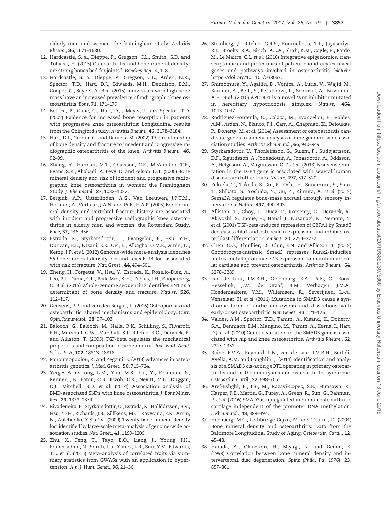<span id="page-7-0"></span>elderly men and women. the framingham study. Arthritis Rheum., 36, 1671–1680.

- 12. Hardcastle, S. a., Dieppe, P., Gregson, C.L., Smith, G.D. and Tobias, J.H. (2015) Osteoarthritis and bone mineral density: are strong bones bad for joints?. Bonekey Rep., 4, 1–8.
- 13. Hardcastle, S. a., Dieppe, P., Gregson, C.L., Arden, N.K., Spector, T.D., Hart, D.J., Edwards, M.H., Dennison, E.M., Cooper, C., Sayers, A. et al. (2015) Individuals with high bone mass have an increased prevalence of radiographic knee osteoarthritis. Bone, 71, 171–179.
- 14. Bettica, P., Cline, G., Hart, D.J., Meyer, J. and Spector, T.D. (2002) Evidence for increased bone resorption in patients with progressive knee osteoarthritis: Longitudinal results from the Chingford study. Arthritis Rheum., 46, 3178–3184.
- 15. Hart, D.J., Cronin, C. and Daniels, M. (2002) The relationship of bone density and fracture to incedent and progressive radiographic osteoarthritis of the knee. Arthritis Rheum., 46, 92–99.
- 16. Zhang, Y., Hannan, M.T., Chaisson, C.E., McAlindon, T.E., Evans, S.R., Aliabadi, P., Levy, D. and Felson, D.T. (2000) Bone mineral density and risk of incident and progressive radiographic knee osteoarthritis in women: the Framingham Study. J. Rheumatol., 27, 1032–1037.
- 17. Bergink, A.P., Uitterlinden, A.G., Van Leeuwen, J.P.T.M., Hofman, A., Verhaar, J.A.N. and Pols, H.A.P. (2005) Bone mineral density and vertebral fracture history are associated with incident and progressive radiographic knee osteoarthritis in elderly men and women: the Rotterdam Study. Bone, 37, 446–456.
- 18. Estrada, K., Styrkarsdottir, U., Evangelou, E., Hsu, Y.H., Duncan, E.L., Ntzani, E.E., Oei, L., Albagha, O.M.E., Amin, N., Kemp, J.P. et al. (2012) Genome-wide meta-analysis identifies 56 bone mineral density loci and reveals 14 loci associated with risk of fracture. Nat. Genet., 44, 494–501.
- 19. Zheng, H., Forgetta, V., Hsu, Y., Estrada, K., Rosello-Diez, A., Leo, P.J., Dahia, C.L., Park-Min, K.H., Tobias, J.H., Kooperberg, C. et al. (2015) Whole-genome sequencing identifies EN1 as a determinant of bone density and fracture. Nature, 526, 112–117.
- 20. Geusens, P.P. and van den Bergh, J.P. (2016) Osteoporosis and osteoarthritis: shared mechanisms and epidemiology. Curr. Opin. Rheumatol., 28, 97–103.
- 21. Balooch, G., Balooch, M., Nalla, R.K., Schilling, S., Filvaroff, E.H., Marshall, G.W., Marshall, S.J., Ritchie, R.O., Derynck, R. and Alliston, T. (2005) TGF-beta regulates the mechanical properties and composition of bone matrix. Proc. Natl. Acad. Sci. U. S. A, 102, 18813–18818.
- 22. Panoutsopoulou, K. and Zeggini, E. (2013) Advances in osteoarthritis genetics. J. Med. Genet., 50, 715–724.
- 23. Yerges-Armstrong, L.M., Yau, M.S., Liu, Y., Krishnan, S., Renner, J.B., Eaton, C.B., Kwoh, C.K., Nevitt, M.C., Duggan, D.J., Mitchell, B.D. et al. (2014) Association analysis of BMD-associated SNPs with knee osteoarthritis. J. Bone Miner. Res., 29, 1373–1379.
- 24. Rivadeneira, F., Styrkársdottir, U., Estrada, K., Halldórsson, B.V., Hsu, Y.-H., Richards, J.B., Zillikens, M.C., Kavvoura, F.K., Amin, N., Aulchenko, Y.S. et al. (2009) Twenty bone-mineral-density loci identified by large-scale meta-analysis of genome-wide association studies. Nat. Genet., 41, 1199–1206.
- 25. Zhu, X., Feng, T., Tayo, B.O., Liang, J., Young, J.H., Franceschini, N., Smith, J. a., Yanek, L.R., Sun, Y.V., Edwards, T.L. et al. (2015) Meta-analysis of correlated traits via summary statistics from GWASs with an application in hypertension. Am. J. Hum. Genet., 96, 21–36.
- 26. Steinberg, J., Ritchie, G.R.S., Roumeliotis, T.I., Jayasuriya, R.L., Brooks, R.A., Binch, A.L.A., Shah, K.M., Coyle, R., Pardo, M., Le Maitre, C.L. et al. (2016) Integrative epigenomics, transcriptomics and proteomics of patient chondrocytes reveal genes and pathways involved in osteoarthritis. bioRxiv, <https://doi.org/10.1101/038067>.
- 27. Shimomura, Y., Agalliu, D., Vonica, A., Luria, V., Wajid, M., Baumer, A., Belli, S., Petukhova, L., Schinzel, A., Brivanlou, A.H. et al. (2010) APCDD1 is a novel Wnt inhibitor mutated in hereditary hypotrichosis simplex. Nature, 464, 1043–1047.
- 28. Rodriguez-Fontenla, C., Calaza, M., Evangelou, E., Valdes, A.M., Arden, N., Blanco, F.J., Carr, A., Chapman, K., Deloukas, P., Doherty, M. et al. (2014) Assessment of osteoarthritis candidate genes in a meta-analysis of nine genome-wide association studies. Arthritis Rheumatol., 66, 940–949.
- 29. Styrkarsdottir, U., Thorleifsson, G., Sulem, P., Gudbjartsson, D.F., Sigurdsson, A., Jonasdottir, A., Jonasdottir, A., Oddsson, A., Helgason, A., Magnusson, O.T. et al. (2013) Nonsense mutation in the LGR4 gene is associated with several human diseases and other traits. Nature, 497, 517–520.
- 30. Fukuda, T., Takeda, S., Xu, R., Ochi, H., Sunamura, S., Sato, T., Shibata, S., Yoshida, Y., Gu, Z., Kimura, A. et al. (2013) Sema3A regulates bone-mass accrual through sensory innervations. Nature, 497, 490–493.
- 31. Alliston, T., Choy, L., Ducy, P., Karsenty, G., Derynck, R., Akiyoshi, S., Inoue, H., Hanai, J., Kusanagi, K., Nemoto, N. et al. (2001) TGF-beta-induced repression of CBFA1 by Smad3 decreases cbfa1 and osteocalcin expression and inhibits osteoblast differentiation. embo J., 20, 2254–2272.
- 32. Chen, C.G., Thuillier, D., Chin, E.N. and Alliston, T. (2012) Chondrocyte-intrinsic Smad3 represses Runx2-inducible matrix metalloproteinase 13 expression to maintain articular cartilage and prevent osteoarthritis. Arthritis Rheum., 64, 3278–3289.
- 33. van de Laar, I.M.B.H., Oldenburg, R.A., Pals, G., Roos-Hesselink, J.W., de Graaf, B.M., Verhagen, J.M.A., Hoedemaekers, Y.M., Willemsen, R., Severijnen, L.-A., Venselaar, H. et al. (2011) Mutations in SMAD3 cause a syndromic form of aortic aneurysms and dissections with early-onset osteoarthritis. Nat. Genet., 43, 121–126.
- 34. Valdes, A.M., Spector, T.D., Tamm, A., Kisand, K., Doherty, S.A., Dennison, E.M., Mangino, M., Tamm, A., Kerna, I., Hart, D.J. et al. (2010) Genetic variation in the SMAD3 gene is associated with hip and knee osteoarthritis. Arthritis Rheum., 62, 2347–2352.
- 35. Raine, E.V.A., Reynard, L.N., van de Laar, I.M.B.H., Bertoli-Avella, A.M. and Loughlin, J. (2014) Identification and analysis of a SMAD3 cis-acting eQTL operating in primary osteoarthritis and in the aneurysms and osteoarthritis syndrome. Osteoarthr. Cartil., 22, 698–705.
- 36. Aref-Eshghi, E., Liu, M., Razavi-Lopez, S.B., Hirasawa, K., Harper, P.E., Martin, G., Furey, A., Green, R., Sun, G., Rahman, P. et al. (2016) SMAD3 is upregulated in human osteoarthritic cartilage independent of the promoter DNA methylation. J. Rheumatol., 43, 388–394.
- 37. Hochberg, M.C., Lethbridge-Cejku, M. and Tobin, J.D. (2004) Bone mineral density and osteoarthritis: Data from the Baltimore Longitudinal Study of Aging. Osteoarthr. Cartil., 12, 45–48.
- 38. Harada, A., Okuizumi, H., Miyagi, N. and Genda, E. (1998) Correlation between bone mineral density and intervertebral disc degeneration. Spine (Phila. Pa. 1976), 23, 857–861.